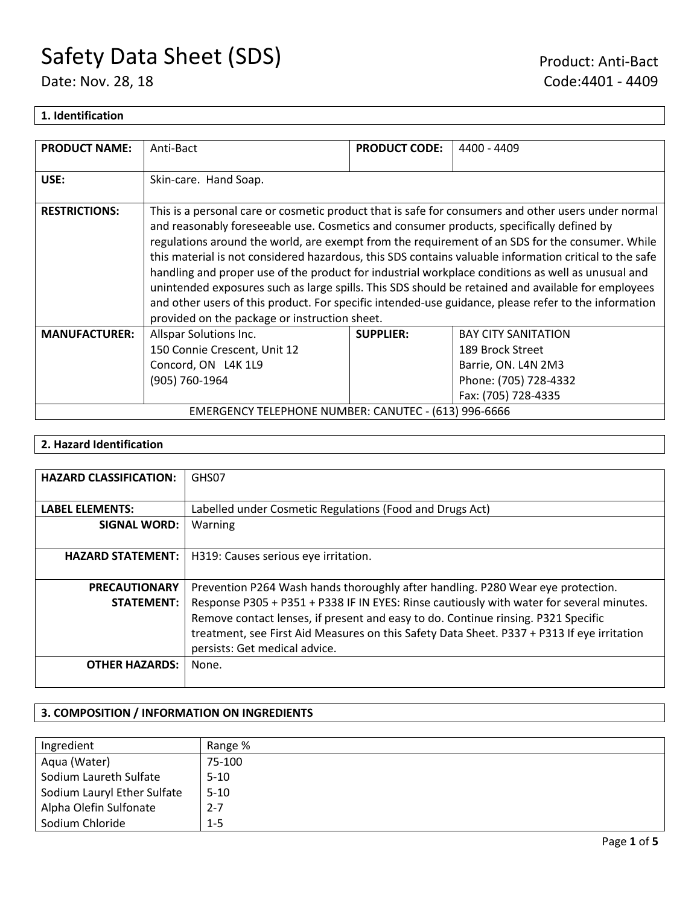### **1. Identification**

| <b>PRODUCT NAME:</b>                                 | Anti-Bact                                                                                                                                                                                                                                                                                                                                                                                                                                                                                                                                                                                                                                                                                                                                                                        | <b>PRODUCT CODE:</b> | 4400 - 4409                                                                                    |
|------------------------------------------------------|----------------------------------------------------------------------------------------------------------------------------------------------------------------------------------------------------------------------------------------------------------------------------------------------------------------------------------------------------------------------------------------------------------------------------------------------------------------------------------------------------------------------------------------------------------------------------------------------------------------------------------------------------------------------------------------------------------------------------------------------------------------------------------|----------------------|------------------------------------------------------------------------------------------------|
| USE:                                                 | Skin-care. Hand Soap.                                                                                                                                                                                                                                                                                                                                                                                                                                                                                                                                                                                                                                                                                                                                                            |                      |                                                                                                |
| <b>RESTRICTIONS:</b>                                 | This is a personal care or cosmetic product that is safe for consumers and other users under normal<br>and reasonably foreseeable use. Cosmetics and consumer products, specifically defined by<br>regulations around the world, are exempt from the requirement of an SDS for the consumer. While<br>this material is not considered hazardous, this SDS contains valuable information critical to the safe<br>handling and proper use of the product for industrial workplace conditions as well as unusual and<br>unintended exposures such as large spills. This SDS should be retained and available for employees<br>and other users of this product. For specific intended-use guidance, please refer to the information<br>provided on the package or instruction sheet. |                      |                                                                                                |
| <b>MANUFACTURER:</b>                                 | Allspar Solutions Inc.<br>150 Connie Crescent, Unit 12<br>Concord, ON L4K 1L9<br>(905) 760-1964                                                                                                                                                                                                                                                                                                                                                                                                                                                                                                                                                                                                                                                                                  | <b>SUPPLIER:</b>     | <b>BAY CITY SANITATION</b><br>189 Brock Street<br>Barrie, ON. L4N 2M3<br>Phone: (705) 728-4332 |
| EMERGENCY TELEPHONE NUMBER: CANUTEC - (613) 996-6666 |                                                                                                                                                                                                                                                                                                                                                                                                                                                                                                                                                                                                                                                                                                                                                                                  |                      | Fax: (705) 728-4335                                                                            |

### **2. Hazard Identification**

| <b>HAZARD CLASSIFICATION:</b> | GHS07                                                                                      |
|-------------------------------|--------------------------------------------------------------------------------------------|
|                               |                                                                                            |
| <b>LABEL ELEMENTS:</b>        | Labelled under Cosmetic Regulations (Food and Drugs Act)                                   |
| <b>SIGNAL WORD:</b>           | Warning                                                                                    |
|                               |                                                                                            |
| <b>HAZARD STATEMENT:</b>      | H319: Causes serious eye irritation.                                                       |
|                               |                                                                                            |
| <b>PRECAUTIONARY</b>          | Prevention P264 Wash hands thoroughly after handling. P280 Wear eye protection.            |
| <b>STATEMENT:</b>             | Response P305 + P351 + P338 IF IN EYES: Rinse cautiously with water for several minutes.   |
|                               | Remove contact lenses, if present and easy to do. Continue rinsing. P321 Specific          |
|                               | treatment, see First Aid Measures on this Safety Data Sheet. P337 + P313 If eye irritation |
|                               | persists: Get medical advice.                                                              |
| <b>OTHER HAZARDS:</b>         | None.                                                                                      |
|                               |                                                                                            |

### **3. COMPOSITION / INFORMATION ON INGREDIENTS**

| Ingredient                  | Range %  |
|-----------------------------|----------|
| Aqua (Water)                | 75-100   |
| Sodium Laureth Sulfate      | $5-10$   |
| Sodium Lauryl Ether Sulfate | $5 - 10$ |
| Alpha Olefin Sulfonate      | 2-7      |
| Sodium Chloride             | $1 - 5$  |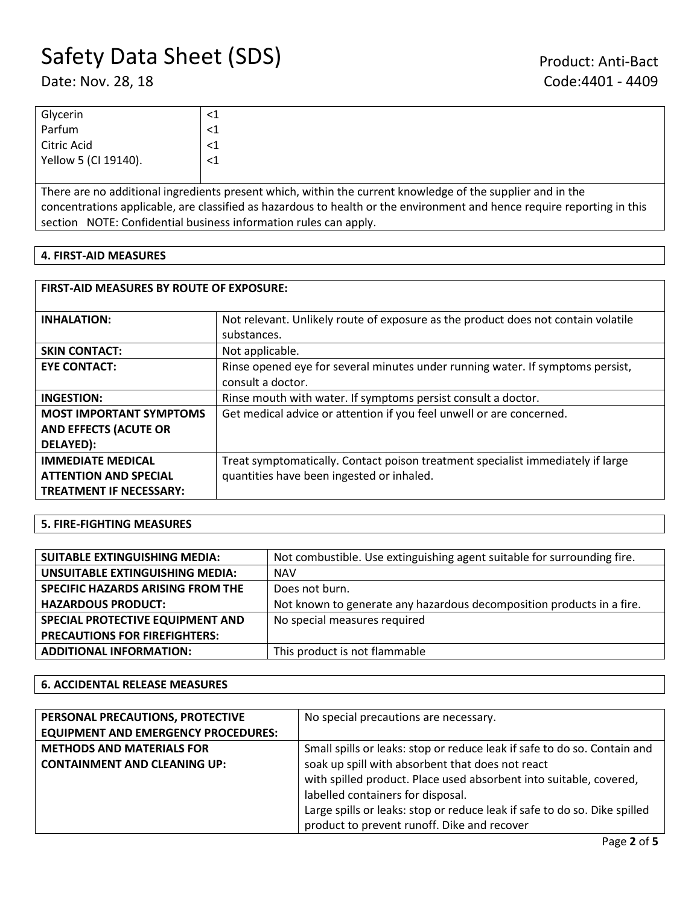| Glycerin             |  |
|----------------------|--|
| Parfum               |  |
| Citric Acid          |  |
| Yellow 5 (CI 19140). |  |
|                      |  |

There are no additional ingredients present which, within the current knowledge of the supplier and in the concentrations applicable, are classified as hazardous to health or the environment and hence require reporting in this section NOTE: Confidential business information rules can apply.

### **4. FIRST-AID MEASURES**

| <b>FIRST-AID MEASURES BY ROUTE OF EXPOSURE:</b>                                            |                                                                                                                              |  |  |
|--------------------------------------------------------------------------------------------|------------------------------------------------------------------------------------------------------------------------------|--|--|
| <b>INHALATION:</b>                                                                         | Not relevant. Unlikely route of exposure as the product does not contain volatile<br>substances.                             |  |  |
| <b>SKIN CONTACT:</b>                                                                       | Not applicable.                                                                                                              |  |  |
| <b>EYE CONTACT:</b>                                                                        | Rinse opened eye for several minutes under running water. If symptoms persist,<br>consult a doctor.                          |  |  |
| <b>INGESTION:</b>                                                                          | Rinse mouth with water. If symptoms persist consult a doctor.                                                                |  |  |
| <b>MOST IMPORTANT SYMPTOMS</b><br><b>AND EFFECTS (ACUTE OR</b><br>DELAYED):                | Get medical advice or attention if you feel unwell or are concerned.                                                         |  |  |
| <b>IMMEDIATE MEDICAL</b><br><b>ATTENTION AND SPECIAL</b><br><b>TREATMENT IF NECESSARY:</b> | Treat symptomatically. Contact poison treatment specialist immediately if large<br>quantities have been ingested or inhaled. |  |  |

### **5. FIRE-FIGHTING MEASURES**

| <b>SUITABLE EXTINGUISHING MEDIA:</b> | Not combustible. Use extinguishing agent suitable for surrounding fire. |
|--------------------------------------|-------------------------------------------------------------------------|
| UNSUITABLE EXTINGUISHING MEDIA:      | <b>NAV</b>                                                              |
| SPECIFIC HAZARDS ARISING FROM THE    | Does not burn.                                                          |
| <b>HAZARDOUS PRODUCT:</b>            | Not known to generate any hazardous decomposition products in a fire.   |
| SPECIAL PROTECTIVE EQUIPMENT AND     | No special measures required                                            |
| <b>PRECAUTIONS FOR FIREFIGHTERS:</b> |                                                                         |
| <b>ADDITIONAL INFORMATION:</b>       | This product is not flammable                                           |

### **6. ACCIDENTAL RELEASE MEASURES**

| PERSONAL PRECAUTIONS, PROTECTIVE           | No special precautions are necessary.                                     |  |
|--------------------------------------------|---------------------------------------------------------------------------|--|
| <b>EQUIPMENT AND EMERGENCY PROCEDURES:</b> |                                                                           |  |
| <b>METHODS AND MATERIALS FOR</b>           | Small spills or leaks: stop or reduce leak if safe to do so. Contain and  |  |
| <b>CONTAINMENT AND CLEANING UP:</b>        | soak up spill with absorbent that does not react                          |  |
|                                            | with spilled product. Place used absorbent into suitable, covered,        |  |
|                                            | labelled containers for disposal.                                         |  |
|                                            | Large spills or leaks: stop or reduce leak if safe to do so. Dike spilled |  |
|                                            | product to prevent runoff. Dike and recover                               |  |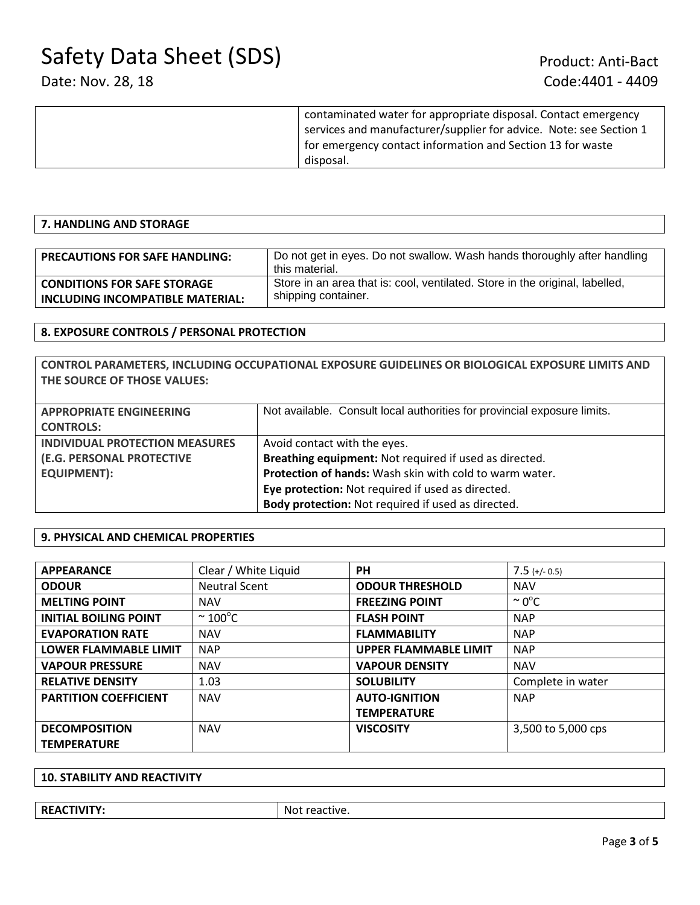| contaminated water for appropriate disposal. Contact emergency     |
|--------------------------------------------------------------------|
| services and manufacturer/supplier for advice. Note: see Section 1 |
| for emergency contact information and Section 13 for waste         |
| disposal.                                                          |
|                                                                    |

### **7. HANDLING AND STORAGE**

| <b>PRECAUTIONS FOR SAFE HANDLING:</b> | Do not get in eyes. Do not swallow. Wash hands thoroughly after handling<br>this material. |
|---------------------------------------|--------------------------------------------------------------------------------------------|
| <b>CONDITIONS FOR SAFE STORAGE</b>    | Store in an area that is: cool, ventilated. Store in the original, labelled,               |
| INCLUDING INCOMPATIBLE MATERIAL:      | shipping container.                                                                        |

### **8. EXPOSURE CONTROLS / PERSONAL PROTECTION**

**CONTROL PARAMETERS, INCLUDING OCCUPATIONAL EXPOSURE GUIDELINES OR BIOLOGICAL EXPOSURE LIMITS AND THE SOURCE OF THOSE VALUES:**

| <b>APPROPRIATE ENGINEERING</b>        | Not available. Consult local authorities for provincial exposure limits. |  |
|---------------------------------------|--------------------------------------------------------------------------|--|
| <b>CONTROLS:</b>                      |                                                                          |  |
| <b>INDIVIDUAL PROTECTION MEASURES</b> | Avoid contact with the eyes.                                             |  |
| (E.G. PERSONAL PROTECTIVE             | Breathing equipment: Not required if used as directed.                   |  |
| <b>EQUIPMENT):</b>                    | Protection of hands: Wash skin with cold to warm water.                  |  |
|                                       | Eye protection: Not required if used as directed.                        |  |
|                                       | Body protection: Not required if used as directed.                       |  |

### **9. PHYSICAL AND CHEMICAL PROPERTIES**

| <b>APPEARANCE</b>            | Clear / White Liquid | <b>PH</b>                    | $7.5$ (+/- 0.5)    |
|------------------------------|----------------------|------------------------------|--------------------|
| <b>ODOUR</b>                 | <b>Neutral Scent</b> | <b>ODOUR THRESHOLD</b>       | <b>NAV</b>         |
| <b>MELTING POINT</b>         | <b>NAV</b>           | <b>FREEZING POINT</b>        | $\sim 0^{\circ}$ C |
| <b>INITIAL BOILING POINT</b> | $\sim$ 100°C         | <b>FLASH POINT</b>           | <b>NAP</b>         |
| <b>EVAPORATION RATE</b>      | <b>NAV</b>           | <b>FLAMMABILITY</b>          | <b>NAP</b>         |
| <b>LOWER FLAMMABLE LIMIT</b> | <b>NAP</b>           | <b>UPPER FLAMMABLE LIMIT</b> | <b>NAP</b>         |
| <b>VAPOUR PRESSURE</b>       | <b>NAV</b>           | <b>VAPOUR DENSITY</b>        | <b>NAV</b>         |
| <b>RELATIVE DENSITY</b>      | 1.03                 | <b>SOLUBILITY</b>            | Complete in water  |
| <b>PARTITION COEFFICIENT</b> | <b>NAV</b>           | <b>AUTO-IGNITION</b>         | <b>NAP</b>         |
|                              |                      | <b>TEMPERATURE</b>           |                    |
| <b>DECOMPOSITION</b>         | <b>NAV</b>           | <b>VISCOSITY</b>             | 3,500 to 5,000 cps |
| <b>TEMPERATURE</b>           |                      |                              |                    |

### **10. STABILITY AND REACTIVITY**

**REACTIVITY:** Not reactive.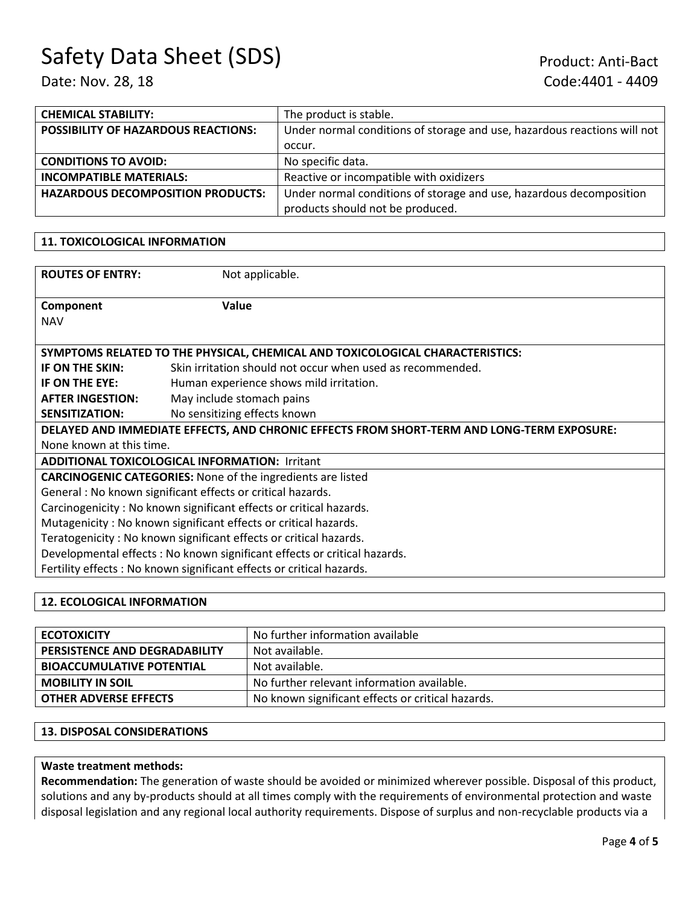| <b>CHEMICAL STABILITY:</b>                 | The product is stable.                                                   |
|--------------------------------------------|--------------------------------------------------------------------------|
| <b>POSSIBILITY OF HAZARDOUS REACTIONS:</b> | Under normal conditions of storage and use, hazardous reactions will not |
|                                            | occur.                                                                   |
| <b>CONDITIONS TO AVOID:</b>                | No specific data.                                                        |
| <b>INCOMPATIBLE MATERIALS:</b>             | Reactive or incompatible with oxidizers                                  |
| <b>HAZARDOUS DECOMPOSITION PRODUCTS:</b>   | Under normal conditions of storage and use, hazardous decomposition      |
|                                            | products should not be produced.                                         |

### **11. TOXICOLOGICAL INFORMATION**

| <b>ROUTES OF ENTRY:</b>                                                                    | Not applicable.                                            |  |  |
|--------------------------------------------------------------------------------------------|------------------------------------------------------------|--|--|
| Component<br><b>NAV</b>                                                                    | Value                                                      |  |  |
| SYMPTOMS RELATED TO THE PHYSICAL, CHEMICAL AND TOXICOLOGICAL CHARACTERISTICS:              |                                                            |  |  |
| IF ON THE SKIN:                                                                            | Skin irritation should not occur when used as recommended. |  |  |
| IF ON THE EYE:                                                                             | Human experience shows mild irritation.                    |  |  |
| <b>AFTER INGESTION:</b>                                                                    | May include stomach pains                                  |  |  |
| <b>SENSITIZATION:</b>                                                                      | No sensitizing effects known                               |  |  |
| DELAYED AND IMMEDIATE EFFECTS, AND CHRONIC EFFECTS FROM SHORT-TERM AND LONG-TERM EXPOSURE: |                                                            |  |  |
| None known at this time.                                                                   |                                                            |  |  |
| <b>ADDITIONAL TOXICOLOGICAL INFORMATION: Irritant</b>                                      |                                                            |  |  |
| <b>CARCINOGENIC CATEGORIES:</b> None of the ingredients are listed                         |                                                            |  |  |
| General: No known significant effects or critical hazards.                                 |                                                            |  |  |
| Carcinogenicity: No known significant effects or critical hazards.                         |                                                            |  |  |
| Mutagenicity: No known significant effects or critical hazards.                            |                                                            |  |  |
| Teratogenicity: No known significant effects or critical hazards.                          |                                                            |  |  |
| Developmental effects: No known significant effects or critical hazards.                   |                                                            |  |  |
| Fertility effects : No known significant effects or critical hazards.                      |                                                            |  |  |
|                                                                                            |                                                            |  |  |

### **12. ECOLOGICAL INFORMATION**

| <b>ECOTOXICITY</b>                   | No further information available                  |
|--------------------------------------|---------------------------------------------------|
| <b>PERSISTENCE AND DEGRADABILITY</b> | Not available.                                    |
| <b>BIOACCUMULATIVE POTENTIAL</b>     | Not available.                                    |
| <b>MOBILITY IN SOIL</b>              | No further relevant information available.        |
| <b>OTHER ADVERSE EFFECTS</b>         | No known significant effects or critical hazards. |

### **13. DISPOSAL CONSIDERATIONS**

### **Waste treatment methods:**

**Recommendation:** The generation of waste should be avoided or minimized wherever possible. Disposal of this product, solutions and any by-products should at all times comply with the requirements of environmental protection and waste disposal legislation and any regional local authority requirements. Dispose of surplus and non-recyclable products via a